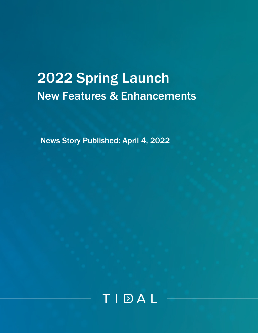# 2022 Spring Launch New Features & Enhancements

News Story Published: April 4, 2022

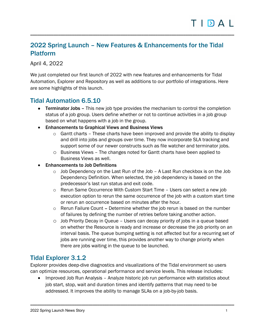### 2022 Spring Launch – New Features & Enhancements for the Tidal Platform

\_\_\_\_\_\_\_\_\_\_\_\_\_\_\_\_\_\_\_\_\_\_\_\_\_\_\_\_\_\_\_\_\_\_\_\_\_\_\_\_\_\_\_\_\_\_\_\_\_\_\_\_\_\_\_\_\_\_\_\_\_\_\_\_\_\_\_\_\_\_\_\_\_\_\_\_\_\_\_\_\_\_\_\_\_\_\_\_

April 4, 2022

We just completed our first launch of 2022 with new features and enhancements for Tidal Automation, Explorer and Repository as well as additions to our portfolio of integrations. Here are some highlights of this launch.

#### Tidal Automation 6.5.10

- Terminator Jobs This new job type provides the mechanism to control the completion status of a job group. Users define whether or not to continue activities in a job group based on what happens with a job in the group.
- Enhancements to Graphical Views and Business Views
	- $\circ$  Gantt charts These charts have been improved and provide the ability to display and drill into jobs and groups over time. They now incorporate SLA tracking and support some of our newer constructs such as file watcher and terminator jobs.
	- o Business Views The changes noted for Gantt charts have been applied to Business Views as well.
- Enhancements to Job Definitions
	- $\circ$  Job Dependency on the Last Run of the Job A Last Run checkbox is on the Job Dependency Definition. When selected, the job dependency is based on the predecessor's last run status and exit code.
	- $\circ$  Rerun Same Occurrence With Custom Start Time  $-$  Users can select a new job execution option to rerun the same occurrence of the job with a custom start time or rerun an occurrence based on minutes after the hour.
	- o Rerun Failure Count Determine whether the job rerun is based on the number of failures by defining the number of retries before taking another action.
	- $\circ$  Job Priority Decay in Queue Users can decay priority of jobs in a queue based on whether the Resource is ready and increase or decrease the job priority on an interval basis. The queue bumping setting is not affected but for a recurring set of jobs are running over time, this provides another way to change priority when there are jobs waiting in the queue to be launched.

#### Tidal Explorer 3.1.2

Explorer provides deep-dive diagnostics and visualizations of the Tidal environment so users can optimize resources, operational performance and service levels. This release includes:

• Improved Job Run Analysis – Analyze historic job run performance with statistics about job start, stop, wait and duration times and identify patterns that may need to be addressed. It improves the ability to manage SLAs on a job-by-job basis.

\_\_\_\_\_\_\_\_\_\_\_\_\_\_\_\_\_\_\_\_\_\_\_\_\_\_\_\_\_\_\_\_\_\_\_\_\_\_\_\_\_\_\_\_\_\_\_\_\_\_\_\_\_\_\_\_\_\_\_\_\_\_\_\_\_\_\_\_\_\_\_\_\_\_\_\_\_\_\_\_\_\_\_\_\_\_\_\_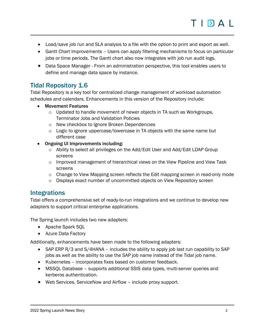• Load/save job run and SLA analysis to a file with the option to print and export as well.

\_\_\_\_\_\_\_\_\_\_\_\_\_\_\_\_\_\_\_\_\_\_\_\_\_\_\_\_\_\_\_\_\_\_\_\_\_\_\_\_\_\_\_\_\_\_\_\_\_\_\_\_\_\_\_\_\_\_\_\_\_\_\_\_\_\_\_\_\_\_\_\_\_\_\_\_\_\_\_\_\_\_\_\_\_\_\_\_

- Gantt Chart Improvements Users can apply filtering mechanisms to focus on particular jobs or time periods. The Gantt chart also now integrates with job run audit logs.
- Data Space Manager From an administration perspective, this tool enables users to define and manage data space by instance.

### Tidal Repository 1.6

Tidal Repository is a key tool for centralized change management of workload automation schedules and calendars. Enhancements in this version of the Repository include:

- Movement Features
	- o Updated to handle movement of newer objects in TA such as Workgroups, Terminator Jobs and Validation Policies
	- o New checkbox to Ignore Broken Dependencies
	- o Logic to ignore uppercase/lowercase in TA objects with the same name but different case
- Ongoing UI Improvements including:
	- o Ability to select all privileges on the Add/Edit User and Add/Edit LDAP Group screens
	- $\circ$  Improved management of hierarchical views on the View Pipeline and View Task screens
	- $\circ$  Change to View Mapping screen reflects the Edit mapping screen in read-only mode
	- o Displays exact number of uncommitted objects on View Repository screen

#### Integrations

Tidal offers a comprehensive set of ready-to-run integrations and we continue to develop new adapters to support critical enterprise applications.

The Spring launch includes two new adapters:

- Apache Spark SQL
- Azure Data Factory

Additionally, enhancements have been made to the following adapters:

- SAP ERP R/3 and S/4HANA includes the ability to apply job last run capability to SAP jobs as well as the ability to use the SAP job name instead of the Tidal job name.
- Kubernetes incorporates fixes based on customer feedback.
- MSSQL Database supports additional SSIS data types, multi-server queries and kerberos authentication.

\_\_\_\_\_\_\_\_\_\_\_\_\_\_\_\_\_\_\_\_\_\_\_\_\_\_\_\_\_\_\_\_\_\_\_\_\_\_\_\_\_\_\_\_\_\_\_\_\_\_\_\_\_\_\_\_\_\_\_\_\_\_\_\_\_\_\_\_\_\_\_\_\_\_\_\_\_\_\_\_\_\_\_\_\_\_\_\_

• Web Services, ServiceNow and Airflow – include proxy support.